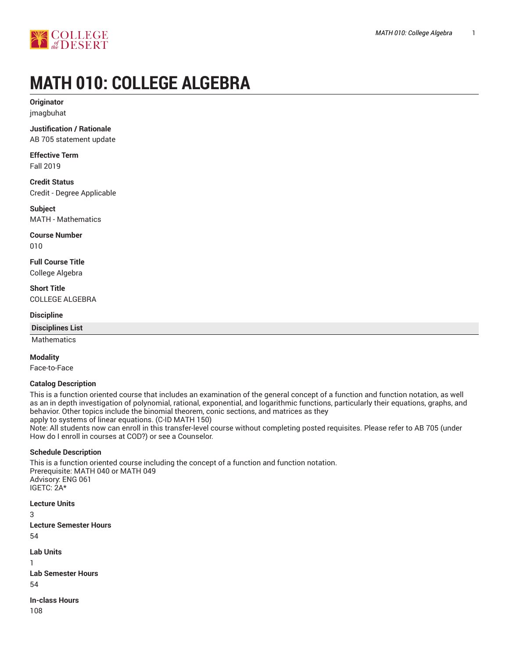



# **MATH 010: COLLEGE ALGEBRA**

**Originator** jmagbuhat

**Justification / Rationale** AB 705 statement update

**Effective Term**

Fall 2019

**Credit Status** Credit - Degree Applicable

**Subject** MATH - Mathematics

**Course Number** 010

**Full Course Title** College Algebra

**Short Title** COLLEGE ALGEBRA

**Discipline**

**Disciplines List**

Mathematics

## **Modality**

Face-to-Face

## **Catalog Description**

This is a function oriented course that includes an examination of the general concept of a function and function notation, as well as an in depth investigation of polynomial, rational, exponential, and logarithmic functions, particularly their equations, graphs, and behavior. Other topics include the binomial theorem, conic sections, and matrices as they apply to systems of linear equations. (C-ID MATH 150)

Note: All students now can enroll in this transfer-level course without completing posted requisites. Please refer to AB 705 (under How do I enroll in courses at COD?) or see a Counselor.

## **Schedule Description**

This is a function oriented course including the concept of a function and function notation. Prerequisite: MATH 040 or MATH 049 Advisory: ENG 061 IGETC: 2A\*

**Lecture Units** 3 **Lecture Semester Hours** 54 **Lab Units** 1 **Lab Semester Hours**

54

**In-class Hours** 108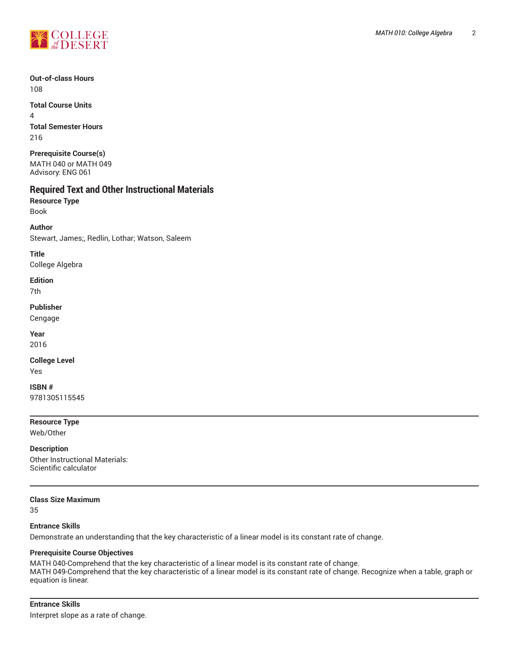

**Out-of-class Hours** 108

**Total Course Units** 4 **Total Semester Hours** 216

**Prerequisite Course(s)** MATH 040 or MATH 049 Advisory: ENG 061

# **Required Text and Other Instructional Materials**

**Resource Type** Book

**Author**

Stewart, James;, Redlin, Lothar; Watson, Saleem

**Title**

College Algebra

**Edition**

7th

**Publisher**

Cengage

**Year** 2016

**College Level**

Yes

**ISBN #** 9781305115545

**Resource Type**

Web/Other

**Description** Other Instructional Materials: Scientific calculator

**Class Size Maximum**

35

# **Entrance Skills**

Demonstrate an understanding that the key characteristic of a linear model is its constant rate of change.

## **Prerequisite Course Objectives**

MATH 040-Comprehend that the key characteristic of a linear model is its constant rate of change. MATH 049-Comprehend that the key characteristic of a linear model is its constant rate of change. Recognize when a table, graph or equation is linear.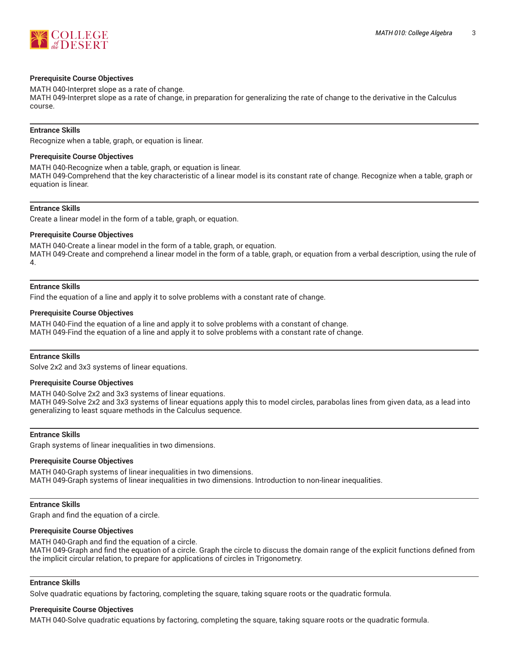

## **Prerequisite Course Objectives**

MATH 040-Interpret slope as a rate of change.

MATH 049-Interpret slope as a rate of change, in preparation for generalizing the rate of change to the derivative in the Calculus course.

## **Entrance Skills**

Recognize when a table, graph, or equation is linear.

## **Prerequisite Course Objectives**

MATH 040-Recognize when a table, graph, or equation is linear. MATH 049-Comprehend that the key characteristic of a linear model is its constant rate of change. Recognize when a table, graph or equation is linear.

## **Entrance Skills**

Create a linear model in the form of a table, graph, or equation.

## **Prerequisite Course Objectives**

MATH 040-Create a linear model in the form of a table, graph, or equation. MATH 049-Create and comprehend a linear model in the form of a table, graph, or equation from a verbal description, using the rule of 4.

## **Entrance Skills**

Find the equation of a line and apply it to solve problems with a constant rate of change.

#### **Prerequisite Course Objectives**

MATH 040-Find the equation of a line and apply it to solve problems with a constant of change. MATH 049-Find the equation of a line and apply it to solve problems with a constant rate of change.

## **Entrance Skills**

Solve 2x2 and 3x3 systems of linear equations.

## **Prerequisite Course Objectives**

MATH 040-Solve 2x2 and 3x3 systems of linear equations.

MATH 049-Solve 2x2 and 3x3 systems of linear equations apply this to model circles, parabolas lines from given data, as a lead into generalizing to least square methods in the Calculus sequence.

## **Entrance Skills**

Graph systems of linear inequalities in two dimensions.

## **Prerequisite Course Objectives**

MATH 040-Graph systems of linear inequalities in two dimensions. MATH 049-Graph systems of linear inequalities in two dimensions. Introduction to non-linear inequalities.

## **Entrance Skills**

Graph and find the equation of a circle.

## **Prerequisite Course Objectives**

MATH 040-Graph and find the equation of a circle. MATH 049-Graph and find the equation of a circle. Graph the circle to discuss the domain range of the explicit functions defined from the implicit circular relation, to prepare for applications of circles in Trigonometry.

## **Entrance Skills**

Solve quadratic equations by factoring, completing the square, taking square roots or the quadratic formula.

## **Prerequisite Course Objectives**

MATH 040-Solve quadratic equations by factoring, completing the square, taking square roots or the quadratic formula.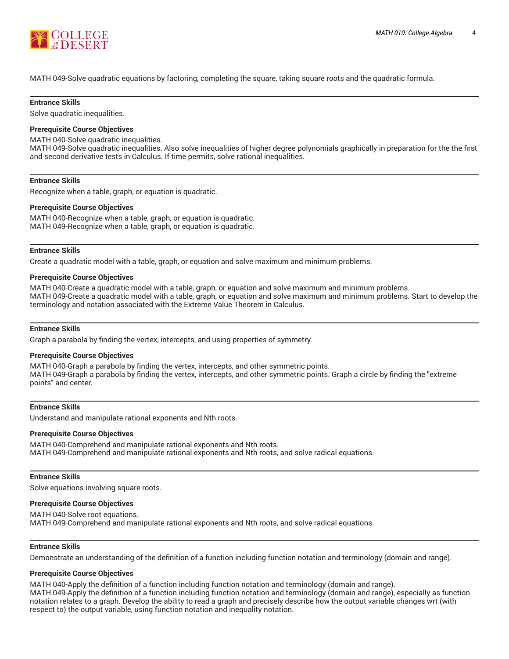

MATH 049-Solve quadratic equations by factoring, completing the square, taking square roots and the quadratic formula.

## **Entrance Skills**

Solve quadratic inequalities.

#### **Prerequisite Course Objectives**

MATH 040-Solve quadratic inequalities.

MATH 049-Solve quadratic inequalities. Also solve inequalities of higher degree polynomials graphically in preparation for the the first and second derivative tests in Calculus. If time permits, solve rational inequalities.

#### **Entrance Skills**

Recognize when a table, graph, or equation is quadratic.

#### **Prerequisite Course Objectives**

MATH 040-Recognize when a table, graph, or equation is quadratic. MATH 049-Recognize when a table, graph, or equation is quadratic.

#### **Entrance Skills**

Create a quadratic model with a table, graph, or equation and solve maximum and minimum problems.

#### **Prerequisite Course Objectives**

MATH 040-Create a quadratic model with a table, graph, or equation and solve maximum and minimum problems. MATH 049-Create a quadratic model with a table, graph, or equation and solve maximum and minimum problems. Start to develop the terminology and notation associated with the Extreme Value Theorem in Calculus.

#### **Entrance Skills**

Graph a parabola by finding the vertex, intercepts, and using properties of symmetry.

## **Prerequisite Course Objectives**

MATH 040-Graph a parabola by finding the vertex, intercepts, and other symmetric points. MATH 049-Graph a parabola by finding the vertex, intercepts, and other symmetric points. Graph a circle by finding the "extreme points" and center.

#### **Entrance Skills**

Understand and manipulate rational exponents and Nth roots.

#### **Prerequisite Course Objectives**

MATH 040-Comprehend and manipulate rational exponents and Nth roots. MATH 049-Comprehend and manipulate rational exponents and Nth roots, and solve radical equations.

#### **Entrance Skills**

Solve equations involving square roots.

#### **Prerequisite Course Objectives**

MATH 040-Solve root equations. MATH 049-Comprehend and manipulate rational exponents and Nth roots, and solve radical equations.

## **Entrance Skills**

Demonstrate an understanding of the definition of a function including function notation and terminology (domain and range).

#### **Prerequisite Course Objectives**

MATH 040-Apply the definition of a function including function notation and terminology (domain and range). MATH 049-Apply the definition of a function including function notation and terminology (domain and range), especially as function notation relates to a graph. Develop the ability to read a graph and precisely describe how the output variable changes wrt (with respect to) the output variable, using function notation and inequality notation.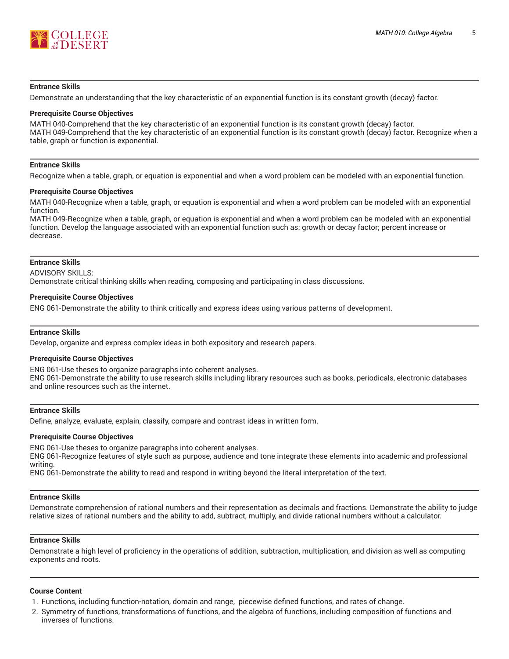

## **Entrance Skills**

Demonstrate an understanding that the key characteristic of an exponential function is its constant growth (decay) factor.

#### **Prerequisite Course Objectives**

MATH 040-Comprehend that the key characteristic of an exponential function is its constant growth (decay) factor. MATH 049-Comprehend that the key characteristic of an exponential function is its constant growth (decay) factor. Recognize when a table, graph or function is exponential.

#### **Entrance Skills**

Recognize when a table, graph, or equation is exponential and when a word problem can be modeled with an exponential function.

#### **Prerequisite Course Objectives**

MATH 040-Recognize when a table, graph, or equation is exponential and when a word problem can be modeled with an exponential function.

MATH 049-Recognize when a table, graph, or equation is exponential and when a word problem can be modeled with an exponential function. Develop the language associated with an exponential function such as: growth or decay factor; percent increase or decrease.

#### **Entrance Skills**

ADVISORY SKILLS:

Demonstrate critical thinking skills when reading, composing and participating in class discussions.

#### **Prerequisite Course Objectives**

ENG 061-Demonstrate the ability to think critically and express ideas using various patterns of development.

## **Entrance Skills**

Develop, organize and express complex ideas in both expository and research papers.

#### **Prerequisite Course Objectives**

ENG 061-Use theses to organize paragraphs into coherent analyses. ENG 061-Demonstrate the ability to use research skills including library resources such as books, periodicals, electronic databases and online resources such as the internet.

## **Entrance Skills**

Define, analyze, evaluate, explain, classify, compare and contrast ideas in written form.

#### **Prerequisite Course Objectives**

ENG 061-Use theses to organize paragraphs into coherent analyses.

ENG 061-Recognize features of style such as purpose, audience and tone integrate these elements into academic and professional writing.

ENG 061-Demonstrate the ability to read and respond in writing beyond the literal interpretation of the text.

#### **Entrance Skills**

Demonstrate comprehension of rational numbers and their representation as decimals and fractions. Demonstrate the ability to judge relative sizes of rational numbers and the ability to add, subtract, multiply, and divide rational numbers without a calculator.

## **Entrance Skills**

Demonstrate a high level of proficiency in the operations of addition, subtraction, multiplication, and division as well as computing exponents and roots.

## **Course Content**

- 1. Functions, including function-notation, domain and range, piecewise defined functions, and rates of change.
- 2. Symmetry of functions, transformations of functions, and the algebra of functions, including composition of functions and inverses of functions.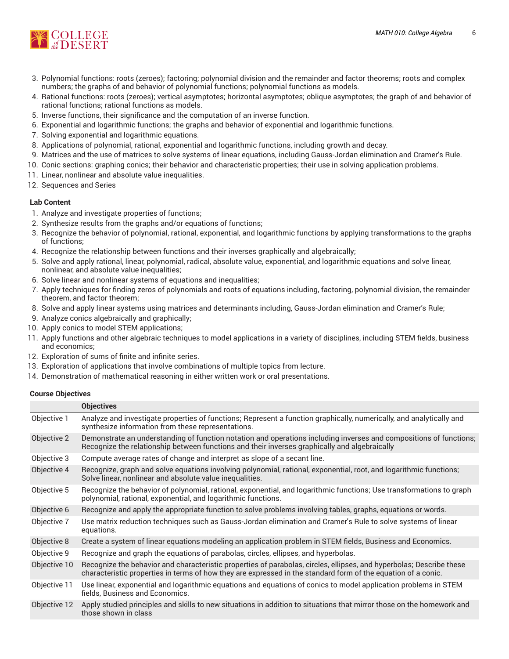

- 3. Polynomial functions: roots (zeroes); factoring; polynomial division and the remainder and factor theorems; roots and complex numbers; the graphs of and behavior of polynomial functions; polynomial functions as models.
- 4. Rational functions: roots (zeroes); vertical asymptotes; horizontal asymptotes; oblique asymptotes; the graph of and behavior of rational functions; rational functions as models.
- 5. Inverse functions, their significance and the computation of an inverse function.
- 6. Exponential and logarithmic functions; the graphs and behavior of exponential and logarithmic functions.
- 7. Solving exponential and logarithmic equations.
- 8. Applications of polynomial, rational, exponential and logarithmic functions, including growth and decay.
- 9. Matrices and the use of matrices to solve systems of linear equations, including Gauss-Jordan elimination and Cramer's Rule.
- 10. Conic sections: graphing conics; their behavior and characteristic properties; their use in solving application problems.
- 11. Linear, nonlinear and absolute value inequalities.
- 12. Sequences and Series

## **Lab Content**

- 1. Analyze and investigate properties of functions;
- 2. Synthesize results from the graphs and/or equations of functions;
- 3. Recognize the behavior of polynomial, rational, exponential, and logarithmic functions by applying transformations to the graphs of functions;
- 4. Recognize the relationship between functions and their inverses graphically and algebraically;
- 5. Solve and apply rational, linear, polynomial, radical, absolute value, exponential, and logarithmic equations and solve linear, nonlinear, and absolute value inequalities;
- 6. Solve linear and nonlinear systems of equations and inequalities;
- 7. Apply techniques for finding zeros of polynomials and roots of equations including, factoring, polynomial division, the remainder theorem, and factor theorem;
- 8. Solve and apply linear systems using matrices and determinants including, Gauss-Jordan elimination and Cramer's Rule;
- 9. Analyze conics algebraically and graphically;
- 10. Apply conics to model STEM applications;
- 11. Apply functions and other algebraic techniques to model applications in a variety of disciplines, including STEM fields, business and economics;
- 12. Exploration of sums of finite and infinite series.
- 13. Exploration of applications that involve combinations of multiple topics from lecture.
- 14. Demonstration of mathematical reasoning in either written work or oral presentations.

## **Course Objectives**

|              | <b>Objectives</b>                                                                                                                                                                                                                     |
|--------------|---------------------------------------------------------------------------------------------------------------------------------------------------------------------------------------------------------------------------------------|
| Objective 1  | Analyze and investigate properties of functions; Represent a function graphically, numerically, and analytically and<br>synthesize information from these representations.                                                            |
| Objective 2  | Demonstrate an understanding of function notation and operations including inverses and compositions of functions;<br>Recognize the relationship between functions and their inverses graphically and algebraically                   |
| Objective 3  | Compute average rates of change and interpret as slope of a secant line.                                                                                                                                                              |
| Objective 4  | Recognize, graph and solve equations involving polynomial, rational, exponential, root, and logarithmic functions;<br>Solve linear, nonlinear and absolute value inequalities.                                                        |
| Objective 5  | Recognize the behavior of polynomial, rational, exponential, and logarithmic functions; Use transformations to graph<br>polynomial, rational, exponential, and logarithmic functions.                                                 |
| Objective 6  | Recognize and apply the appropriate function to solve problems involving tables, graphs, equations or words.                                                                                                                          |
| Objective 7  | Use matrix reduction techniques such as Gauss-Jordan elimination and Cramer's Rule to solve systems of linear<br>equations.                                                                                                           |
| Objective 8  | Create a system of linear equations modeling an application problem in STEM fields, Business and Economics.                                                                                                                           |
| Objective 9  | Recognize and graph the equations of parabolas, circles, ellipses, and hyperbolas.                                                                                                                                                    |
| Objective 10 | Recognize the behavior and characteristic properties of parabolas, circles, ellipses, and hyperbolas; Describe these<br>characteristic properties in terms of how they are expressed in the standard form of the equation of a conic. |
| Objective 11 | Use linear, exponential and logarithmic equations and equations of conics to model application problems in STEM<br>fields, Business and Economics.                                                                                    |
| Objective 12 | Apply studied principles and skills to new situations in addition to situations that mirror those on the homework and<br>those shown in class                                                                                         |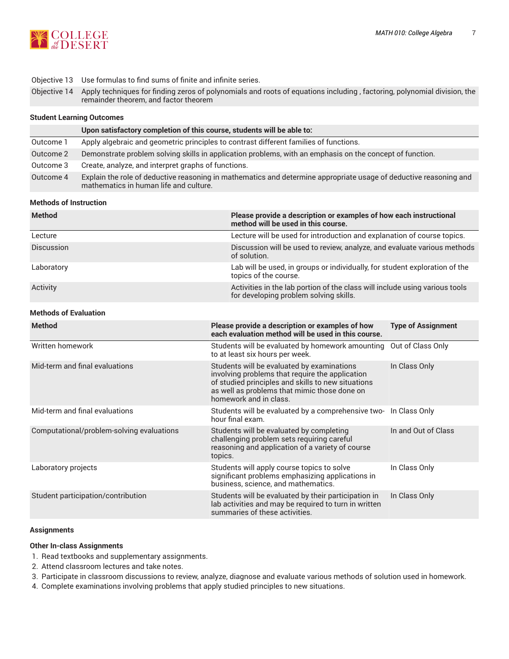In Class Only



Objective 13 Use formulas to find sums of finite and infinite series.

Objective 14 Apply techniques for finding zeros of polynomials and roots of equations including , factoring, polynomial division, the remainder theorem, and factor theorem

## **Student Learning Outcomes**

|           | Upon satisfactory completion of this course, students will be able to:                                                                                      |
|-----------|-------------------------------------------------------------------------------------------------------------------------------------------------------------|
| Outcome 1 | Apply algebraic and geometric principles to contrast different families of functions.                                                                       |
| Outcome 2 | Demonstrate problem solving skills in application problems, with an emphasis on the concept of function.                                                    |
| Outcome 3 | Create, analyze, and interpret graphs of functions.                                                                                                         |
| Outcome 4 | Explain the role of deductive reasoning in mathematics and determine appropriate usage of deductive reasoning and<br>mathematics in human life and culture. |

#### **Methods of Instruction**

| <b>Method</b>                             | Please provide a description or examples of how each instructional<br>method will be used in this course.                                                                                                                     |                           |  |
|-------------------------------------------|-------------------------------------------------------------------------------------------------------------------------------------------------------------------------------------------------------------------------------|---------------------------|--|
| Lecture                                   | Lecture will be used for introduction and explanation of course topics.                                                                                                                                                       |                           |  |
| Discussion                                | Discussion will be used to review, analyze, and evaluate various methods<br>of solution.                                                                                                                                      |                           |  |
| Laboratory                                | Lab will be used, in groups or individually, for student exploration of the<br>topics of the course.                                                                                                                          |                           |  |
| Activity                                  | Activities in the lab portion of the class will include using various tools<br>for developing problem solving skills.                                                                                                         |                           |  |
| <b>Methods of Evaluation</b>              |                                                                                                                                                                                                                               |                           |  |
| <b>Method</b>                             | Please provide a description or examples of how<br>each evaluation method will be used in this course.                                                                                                                        | <b>Type of Assignment</b> |  |
| Written homework                          | Students will be evaluated by homework amounting<br>to at least six hours per week.                                                                                                                                           | Out of Class Only         |  |
| Mid-term and final evaluations            | Students will be evaluated by examinations<br>involving problems that require the application<br>of studied principles and skills to new situations<br>as well as problems that mimic those done on<br>homework and in class. | In Class Only             |  |
| Mid-term and final evaluations            | Students will be evaluated by a comprehensive two-<br>hour final exam.                                                                                                                                                        | In Class Only             |  |
| Computational/problem-solving evaluations | Students will be evaluated by completing<br>challenging problem sets requiring careful<br>reasoning and application of a variety of course<br>topics.                                                                         | In and Out of Class       |  |

| Laboratory projects |  |
|---------------------|--|
|---------------------|--|

|                                    | significant problems emphasizing applications in<br>business, science, and mathematics.                                                         |               |
|------------------------------------|-------------------------------------------------------------------------------------------------------------------------------------------------|---------------|
| Student participation/contribution | Students will be evaluated by their participation in<br>lab activities and may be required to turn in written<br>summaries of these activities. | In Class Only |

Students will apply course topics to solve

#### **Assignments**

## **Other In-class Assignments**

- 1. Read textbooks and supplementary assignments.
- 2. Attend classroom lectures and take notes.
- 3. Participate in classroom discussions to review, analyze, diagnose and evaluate various methods of solution used in homework.
- 4. Complete examinations involving problems that apply studied principles to new situations.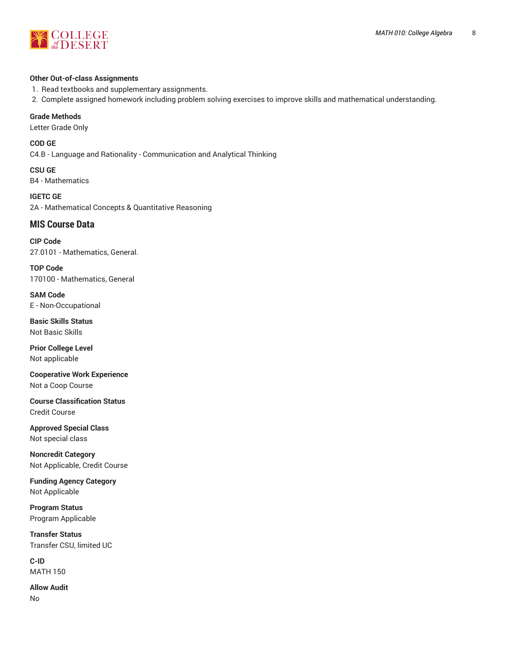

## **Other Out-of-class Assignments**

1. Read textbooks and supplementary assignments.

2. Complete assigned homework including problem solving exercises to improve skills and mathematical understanding.

## **Grade Methods**

Letter Grade Only

**COD GE** C4.B - Language and Rationality - Communication and Analytical Thinking

**CSU GE** B4 - Mathematics

**IGETC GE** 2A - Mathematical Concepts & Quantitative Reasoning

# **MIS Course Data**

**CIP Code** 27.0101 - Mathematics, General.

**TOP Code** 170100 - Mathematics, General

**SAM Code** E - Non-Occupational

**Basic Skills Status** Not Basic Skills

**Prior College Level** Not applicable

**Cooperative Work Experience** Not a Coop Course

**Course Classification Status** Credit Course

**Approved Special Class** Not special class

**Noncredit Category** Not Applicable, Credit Course

**Funding Agency Category** Not Applicable

**Program Status** Program Applicable

**Transfer Status** Transfer CSU, limited UC

**C-ID** MATH 150

**Allow Audit** No